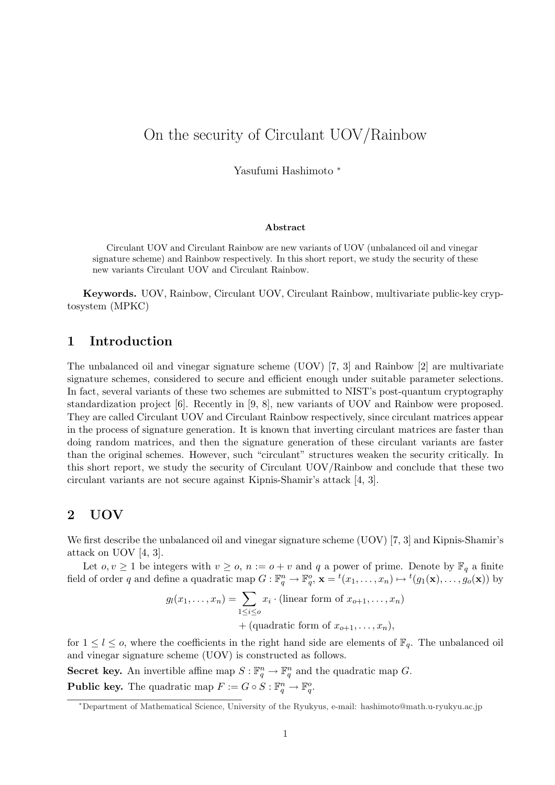# On the security of Circulant UOV/Rainbow

Yasufumi Hashimoto <sup>∗</sup>

#### Abstract

Circulant UOV and Circulant Rainbow are new variants of UOV (unbalanced oil and vinegar signature scheme) and Rainbow respectively. In this short report, we study the security of these new variants Circulant UOV and Circulant Rainbow.

Keywords. UOV, Rainbow, Circulant UOV, Circulant Rainbow, multivariate public-key cryptosystem (MPKC)

# 1 Introduction

The unbalanced oil and vinegar signature scheme (UOV) [7, 3] and Rainbow [2] are multivariate signature schemes, considered to secure and efficient enough under suitable parameter selections. In fact, several variants of these two schemes are submitted to NIST's post-quantum cryptography standardization project [6]. Recently in [9, 8], new variants of UOV and Rainbow were proposed. They are called Circulant UOV and Circulant Rainbow respectively, since circulant matrices appear in the process of signature generation. It is known that inverting circulant matrices are faster than doing random matrices, and then the signature generation of these circulant variants are faster than the original schemes. However, such "circulant" structures weaken the security critically. In this short report, we study the security of Circulant UOV/Rainbow and conclude that these two circulant variants are not secure against Kipnis-Shamir's attack [4, 3].

### 2 UOV

We first describe the unbalanced oil and vinegar signature scheme (UOV) [7, 3] and Kipnis-Shamir's attack on UOV [4, 3].

Let  $o, v \geq 1$  be integers with  $v \geq o, n := o + v$  and q a power of prime. Denote by  $\mathbb{F}_q$  a finite field of order q and define a quadratic map  $G: \mathbb{F}_q^n \to \mathbb{F}_q^o$ ,  $\mathbf{x} = {}^t(x_1, \ldots, x_n) \mapsto {}^t(g_1(\mathbf{x}), \ldots, g_o(\mathbf{x}))$  by

$$
g_l(x_1, \ldots, x_n) = \sum_{1 \leq i \leq o} x_i \cdot (\text{linear form of } x_{o+1}, \ldots, x_n)
$$
  
+ (quadratic form of  $x_{o+1}, \ldots, x_n$ ),

for  $1 \leq l \leq o$ , where the coefficients in the right hand side are elements of  $\mathbb{F}_q$ . The unbalanced oil and vinegar signature scheme (UOV) is constructed as follows.

Secret key. An invertible affine map  $S: \mathbb{F}_q^n \to \mathbb{F}_q^n$  and the quadratic map G. **Public key.** The quadratic map  $F := G \circ S : \mathbb{F}_q^n \to \mathbb{F}_q^o$ .

<sup>∗</sup>Department of Mathematical Science, University of the Ryukyus, e-mail: hashimoto@math.u-ryukyu.ac.jp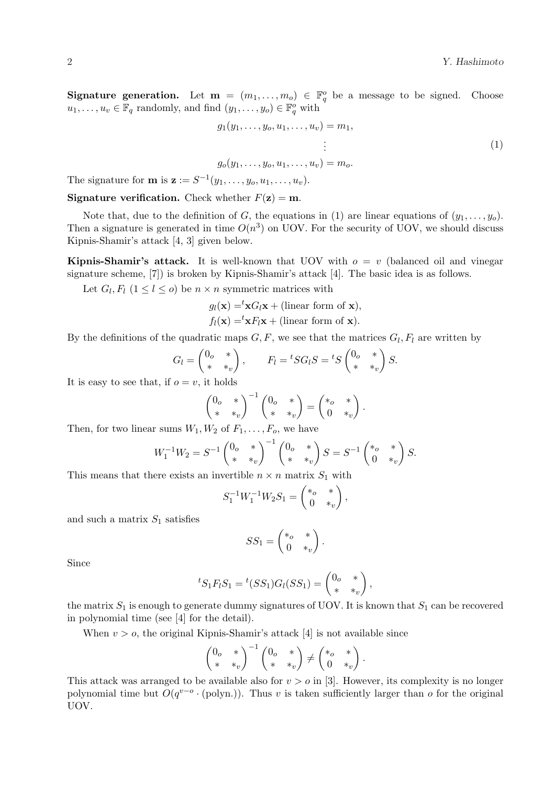**Signature generation.** Let  $\mathbf{m} = (m_1, \ldots, m_o) \in \mathbb{F}_q^o$  be a message to be signed. Choose  $u_1, \ldots, u_v \in \mathbb{F}_q$  randomly, and find  $(y_1, \ldots, y_o) \in \mathbb{F}_q^o$  with

$$
g_1(y_1, \ldots, y_o, u_1, \ldots, u_v) = m_1,
$$
  
\n
$$
\vdots
$$
  
\n
$$
g_o(y_1, \ldots, y_o, u_1, \ldots, u_v) = m_o.
$$
\n(1)

The signature for **m** is  $\mathbf{z} := S^{-1}(y_1, \ldots, y_o, u_1, \ldots, u_v)$ .

**Signature verification.** Check whether  $F(\mathbf{z}) = \mathbf{m}$ .

Note that, due to the definition of G, the equations in (1) are linear equations of  $(y_1, \ldots, y_o)$ . Then a signature is generated in time  $O(n^3)$  on UOV. For the security of UOV, we should discuss Kipnis-Shamir's attack [4, 3] given below.

**Kipnis-Shamir's attack.** It is well-known that UOV with  $o = v$  (balanced oil and vinegar signature scheme, [7]) is broken by Kipnis-Shamir's attack [4]. The basic idea is as follows.

Let  $G_l, F_l$   $(1 \leq l \leq o)$  be  $n \times n$  symmetric matrices with

$$
g_l(\mathbf{x}) = \mathbf{x} G_l \mathbf{x} + (\text{linear form of } \mathbf{x}),
$$
  
 $f_l(\mathbf{x}) = \mathbf{x} F_l \mathbf{x} + (\text{linear form of } \mathbf{x}).$ 

By the definitions of the quadratic maps  $G, F$ , we see that the matrices  $G_l, F_l$  are written by

$$
G_l = \begin{pmatrix} 0_o & * \\ * & *_v \end{pmatrix}, \qquad F_l = {}^t S G_l S = {}^t S \begin{pmatrix} 0_o & * \\ * & *_v \end{pmatrix} S.
$$

It is easy to see that, if  $o = v$ , it holds

$$
\begin{pmatrix} 0_o & * \\ * & *_{v} \end{pmatrix}^{-1} \begin{pmatrix} 0_o & * \\ * & *_{v} \end{pmatrix} = \begin{pmatrix} *_{o} & * \\ 0 & *_{v} \end{pmatrix}.
$$

Then, for two linear sums  $W_1, W_2$  of  $F_1, \ldots, F_o$ , we have

$$
W_1^{-1}W_2 = S^{-1} \begin{pmatrix} 0 & * \\ * & *_{v} \end{pmatrix}^{-1} \begin{pmatrix} 0 & * \\ * & *_{v} \end{pmatrix} S = S^{-1} \begin{pmatrix} *_{o} & * \\ 0 & *_{v} \end{pmatrix} S.
$$

This means that there exists an invertible  $n \times n$  matrix  $S_1$  with

$$
S_1^{-1}W_1^{-1}W_2S_1 = \begin{pmatrix} *_{o} & * \\ 0 & *_{v} \end{pmatrix},
$$

and such a matrix  $S_1$  satisfies

$$
SS_1 = \begin{pmatrix} *_{o} & * \\ 0 & *_{v} \end{pmatrix}.
$$

Since

$$
{}^{t}S_{1}F_{l}S_{1}={}^{t}(SS_{1})G_{l}(SS_{1})=\begin{pmatrix}0_{o}&*\\ *&*_{v}\end{pmatrix},
$$

the matrix  $S_1$  is enough to generate dummy signatures of UOV. It is known that  $S_1$  can be recovered in polynomial time (see [4] for the detail).

When  $v > o$ , the original Kipnis-Shamir's attack [4] is not available since

$$
\begin{pmatrix} 0 & * \\ * & *_{v} \end{pmatrix}^{-1} \begin{pmatrix} 0 & * \\ * & *_{v} \end{pmatrix} \neq \begin{pmatrix} *_{o} & * \\ 0 & *_{v} \end{pmatrix}.
$$

This attack was arranged to be available also for  $v > o$  in [3]. However, its complexity is no longer polynomial time but  $O(q^{v-o} \cdot (polyn))$ . Thus v is taken sufficiently larger than o for the original UOV.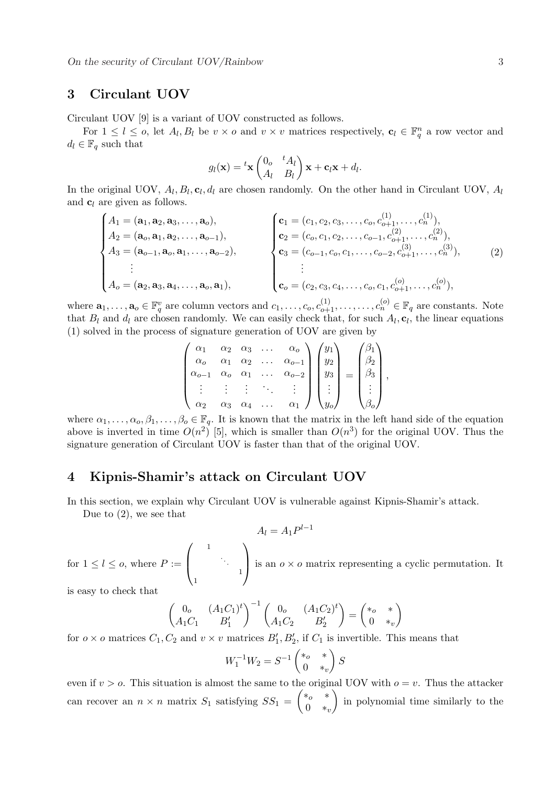# 3 Circulant UOV

Circulant UOV [9] is a variant of UOV constructed as follows.

For  $1 \leq l \leq o$ , let  $A_l, B_l$  be  $v \times o$  and  $v \times v$  matrices respectively,  $\mathbf{c}_l \in \mathbb{F}_q^n$  a row vector and  $d_l \in \mathbb{F}_q$  such that

$$
g_l(\mathbf{x}) = {}^t\mathbf{x} \begin{pmatrix} 0 & {}^tA_l \\ A_l & B_l \end{pmatrix} \mathbf{x} + \mathbf{c}_l \mathbf{x} + d_l.
$$

In the original UOV,  $A_l, B_l, c_l, d_l$  are chosen randomly. On the other hand in Circulant UOV,  $A_l$ and  $c_l$  are given as follows.  $\overline{a}$ 

$$
\begin{cases}\nA_1 = (\mathbf{a}_1, \mathbf{a}_2, \mathbf{a}_3, \dots, \mathbf{a}_o), \\
A_2 = (\mathbf{a}_o, \mathbf{a}_1, \mathbf{a}_2, \dots, \mathbf{a}_{o-1}), \\
A_3 = (\mathbf{a}_{o-1}, \mathbf{a}_o, \mathbf{a}_1, \dots, \mathbf{a}_{o-2}), \\
\vdots \\
A_o = (\mathbf{a}_2, \mathbf{a}_3, \mathbf{a}_4, \dots, \mathbf{a}_o, \mathbf{a}_1),\n\end{cases}\n\qquad\n\begin{cases}\n\mathbf{c}_1 = (c_1, c_2, c_3, \dots, c_o, c_{o+1}^{(1)}, \dots, c_n^{(1)}), \\
\mathbf{c}_2 = (c_o, c_1, c_2, \dots, c_{o-1}, c_{o+1}^{(2)}, \dots, c_n^{(2)}), \\
\mathbf{c}_3 = (c_{o-1}, c_o, c_1, \dots, c_{o-2}, c_{o+1}^{(3)}, \dots, c_n^{(3)}), \\
\vdots \\
\mathbf{c}_o = (c_2, c_3, c_4, \dots, c_o, c_1, c_{o+1}^{(o)}, \dots, c_n^{(o)}),\n\end{cases}\n\qquad (2)
$$

where  $\mathbf{a}_1,\ldots,\mathbf{a}_o \in \mathbb{F}_q^v$  are column vectors and  $c_1,\ldots,c_o,c_{o+1}^{(1)},\ldots,\ldots,c_n^{(o)} \in \mathbb{F}_q$  are constants. Note that  $B_l$  and  $d_l$  are chosen randomly. We can easily check that, for such  $A_l$ ,  $c_l$ , the linear equations (1) solved in the process of signature generation of UOV are given by  $\mathbf{r}$ 

$$
\begin{pmatrix}\n\alpha_1 & \alpha_2 & \alpha_3 & \dots & \alpha_o \\
\alpha_o & \alpha_1 & \alpha_2 & \dots & \alpha_{o-1} \\
\alpha_{o-1} & \alpha_o & \alpha_1 & \dots & \alpha_{o-2} \\
\vdots & \vdots & \vdots & \ddots & \vdots \\
\alpha_2 & \alpha_3 & \alpha_4 & \dots & \alpha_1\n\end{pmatrix}\n\begin{pmatrix}\ny_1 \\
y_2 \\
y_3 \\
\vdots \\
y_o\n\end{pmatrix} = \begin{pmatrix}\n\beta_1 \\
\beta_2 \\
\beta_3 \\
\vdots \\
\beta_o\n\end{pmatrix},
$$

where  $\alpha_1, \ldots, \alpha_o, \beta_1, \ldots, \beta_o \in \mathbb{F}_q$ . It is known that the matrix in the left hand side of the equation above is inverted in time  $O(n^2)$  [5], which is smaller than  $O(n^3)$  for the original UOV. Thus the signature generation of Circulant UOV is faster than that of the original UOV.

#### 4 Kipnis-Shamir's attack on Circulant UOV

In this section, we explain why Circulant UOV is vulnerable against Kipnis-Shamir's attack.

Due to (2), we see that

$$
A_l = A_1 P^{l-1}
$$

for  $1 \leq l \leq o$ , where  $P :=$  $\overline{\phantom{a}}$  $\left\lceil \right\rceil$ 1 . . . 1 1  $\mathbf{r}$ is an  $o \times o$  matrix representing a cyclic permutation. It

is easy to check that

$$
\begin{pmatrix} 0_o & (A_1C_1)^t \\ A_1C_1 & B'_1 \end{pmatrix}^{-1} \begin{pmatrix} 0_o & (A_1C_2)^t \\ A_1C_2 & B'_2 \end{pmatrix} = \begin{pmatrix} * & * \\ 0 & *_v \end{pmatrix}
$$

for  $o \times o$  matrices  $C_1, C_2$  and  $v \times v$  matrices  $B'_1, B'_2$ , if  $C_1$  is invertible. This means that

$$
W_1^{-1}W_2 = S^{-1} \begin{pmatrix} * & * \\ 0 & *_v \end{pmatrix} S
$$

even if  $v > o$ . This situation is almost the same to the original UOV with  $o = v$ . Thus the attacker can recover an  $n \times n$  matrix  $S_1$  satisfying  $SS_1 = \begin{pmatrix} * & * \\ 0 & * \end{pmatrix}$  $\begin{pmatrix} 0 & x \\ 0 & *_v \end{pmatrix}$  in polynomial time similarly to the